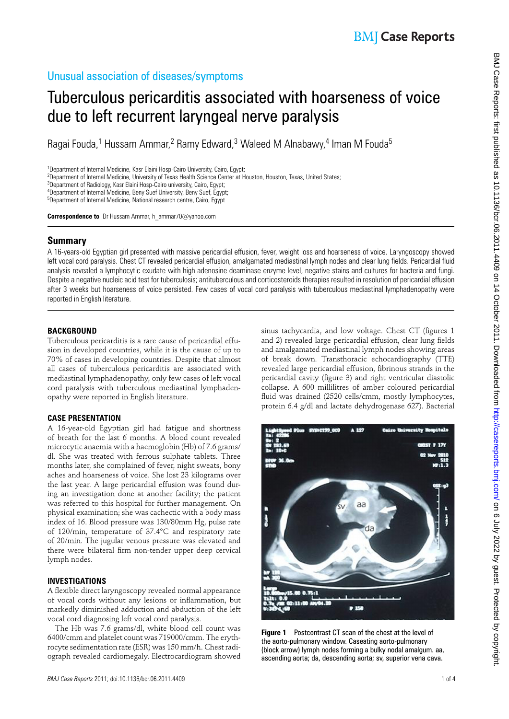### Unusual association of diseases/symptoms

# Tuberculous pericarditis associated with hoarseness of voice due to left recurrent laryngeal nerve paralysis

Ragai Fouda,<sup>1</sup> Hussam Ammar,<sup>2</sup> Ramy Edward,<sup>3</sup> Waleed M Alnabawy,<sup>4</sup> Iman M Fouda<sup>5</sup>

<sup>1</sup>Department of Internal Medicine, Kasr Elaini Hosp-Cairo University, Cairo, Egypt;

<sup>2</sup>Department of Internal Medicine, University of Texas Health Science Center at Houston, Houston, Texas, United States;

<sup>3</sup>Department of Radiology, Kasr Elaini Hosp-Cairo university, Cairo, Egypt;

<sup>4</sup>Department of Internal Medicine, Beny Suef University, Beny Suef, Egypt;

<sup>5</sup>Department of Internal Medicine, National research centre, Cairo, Egypt

 **Correspondence to** Dr Hussam Ammar, h\_ammar70@yahoo.com

#### **Summary**

 A 16-years-old Egyptian girl presented with massive pericardial effusion, fever, weight loss and hoarseness of voice. Laryngoscopy showed left vocal cord paralysis. Chest CT revealed pericardial effusion, amalgamated mediastinal lymph nodes and clear lung fields. Pericardial fluid analysis revealed a lymphocytic exudate with high adenosine deaminase enzyme level, negative stains and cultures for bacteria and fungi. Despite a negative nucleic acid test for tuberculosis; antituberculous and corticosteroids therapies resulted in resolution of pericardial effusion after 3 weeks but hoarseness of voice persisted. Few cases of vocal cord paralysis with tuberculous mediastinal lymphadenopathy were reported in English literature.

#### **BACKGROUND**

Tuberculous pericarditis is a rare cause of pericardial effusion in developed countries, while it is the cause of up to 70% of cases in developing countries. Despite that almost all cases of tuberculous pericarditis are associated with mediastinal lymphadenopathy, only few cases of left vocal cord paralysis with tuberculous mediastinal lymphadenopathy were reported in English literature.

#### **CASE PRESENTATION**

A 16-year-old Egyptian girl had fatigue and shortness of breath for the last 6 months. A blood count revealed microcytic anaemia with a haemoglobin (Hb) of 7.6 grams/ dl. She was treated with ferrous sulphate tablets. Three months later, she complained of fever, night sweats, bony aches and hoarseness of voice. She lost 23 kilograms over the last year. A large pericardial effusion was found during an investigation done at another facility; the patient was referred to this hospital for further management. On physical examination; she was cachectic with a body mass index of 16. Blood pressure was 130/80mm Hg, pulse rate of 120/min, temperature of 37.4°C and respiratory rate of 20/min. The jugular venous pressure was elevated and there were bilateral firm non-tender upper deep cervical lymph nodes.

#### **INVESTIGATIONS**

A flexible direct laryngoscopy revealed normal appearance of vocal cords without any lesions or inflammation, but markedly diminished adduction and abduction of the left vocal cord diagnosing left vocal cord paralysis.

The Hb was 7.6 grams/dl, white blood cell count was 6400/cmm and platelet count was 719000/cmm. The erythrocyte sedimentation rate (ESR) was 150 mm/h. Chest radiograph revealed cardiomegaly. Electrocardiogram showed

sinus tachycardia, and low voltage. Chest CT (figures 1 and 2) revealed large pericardial effusion, clear lung fields and amalgamated mediastinal lymph nodes showing areas of break down. Transthoracic echocardiography (TTE) revealed large pericardial effusion, fibrinous strands in the pericardial cavity (figure 3) and right ventricular diastolic collapse. A 600 millilitres of amber coloured pericardial fluid was drained (2520 cells/cmm, mostly lymphocytes, protein 6.4 g/dl and lactate dehydrogenase 627). Bacterial

**P 150** 

 **Figure 1** Postcontrast CT scan of the chest at the level of the aorto-pulmonary window. Caseating aorto-pulmonary (block arrow) lymph nodes forming a bulky nodal amalgum. aa, ascending aorta; da, descending aorta; sv, superior vena cava.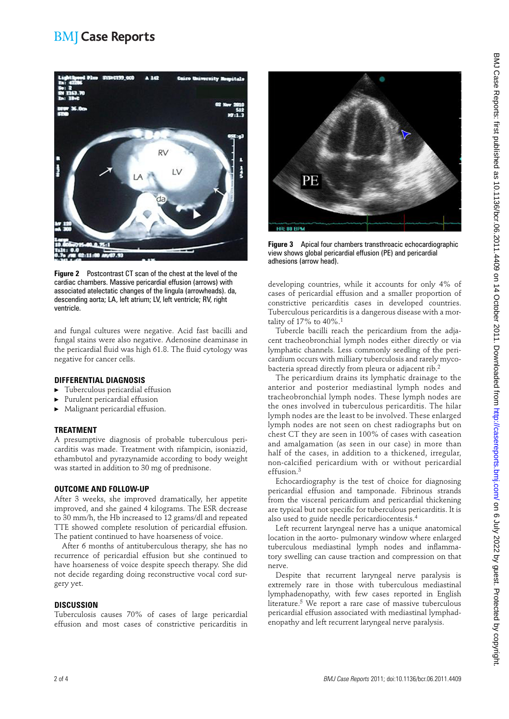### **BMI** Case Reports



 **Figure 2** Postcontrast CT scan of the chest at the level of the cardiac chambers. Massive pericardial effusion (arrows) with associated atelectatic changes of the lingula (arrowheads). da, descending aorta; LA, left atrium; LV, left ventricle; RV, right ventricle.

and fungal cultures were negative. Acid fast bacilli and fungal stains were also negative. Adenosine deaminase in the pericardial fluid was high 61.8. The fluid cytology was negative for cancer cells.

#### **DIFFERENTIAL DIAGNOSIS**

- ▶ Tuberculous pericardial effusion
- Purulent pericardial effusion
- ▶ Malignant pericardial effusion.

#### **TREATMENT**

A presumptive diagnosis of probable tuberculous pericarditis was made. Treatment with rifampicin, isoniazid, ethambutol and pyrazynamide according to body weight was started in addition to 30 mg of prednisone.

#### **OUTCOME AND FOLLOW-UP**

After 3 weeks, she improved dramatically, her appetite improved, and she gained 4 kilograms. The ESR decrease to 30 mm/h, the Hb increased to 12 grams/dl and repeated TTE showed complete resolution of pericardial effusion. The patient continued to have hoarseness of voice.

After 6 months of antituberculous therapy, she has no recurrence of pericardial effusion but she continued to have hoarseness of voice despite speech therapy. She did not decide regarding doing reconstructive vocal cord surgery yet.

#### **DISCUSSION**

Tuberculosis causes 70% of cases of large pericardial effusion and most cases of constrictive pericarditis in



 **Figure 3** Apical four chambers transthroacic echocardiographic view shows global pericardial effusion (PE) and pericardial adhesions (arrow head).

developing countries, while it accounts for only 4% of cases of pericardial effusion and a smaller proportion of constrictive pericarditis cases in developed countries. Tuberculous pericarditis is a dangerous disease with a mortality of  $17\%$  to  $40\%$ .<sup>1</sup>

Tubercle bacilli reach the pericardium from the adjacent tracheobronchial lymph nodes either directly or via lymphatic channels. Less commonly seedling of the pericardium occurs with milliary tuberculosis and rarely mycobacteria spread directly from pleura or adjacent rib.<sup>2</sup>

The pericardium drains its lymphatic drainage to the anterior and posterior mediastinal lymph nodes and tracheobronchial lymph nodes. These lymph nodes are the ones involved in tuberculous pericarditis. The hilar lymph nodes are the least to be involved. These enlarged lymph nodes are not seen on chest radiographs but on chest CT they are seen in 100% of cases with caseation and amalgamation (as seen in our case) in more than half of the cases, in addition to a thickened, irregular, non-calcified pericardium with or without pericardial effusion. 3

Echocardiography is the test of choice for diagnosing pericardial effusion and tamponade. Fibrinous strands from the visceral pericardium and pericardial thickening are typical but not specific for tuberculous pericarditis. It is also used to guide needle pericardiocentesis. 4

Left recurrent laryngeal nerve has a unique anatomical location in the aorto- pulmonary window where enlarged tuberculous mediastinal lymph nodes and inflammatory swelling can cause traction and compression on that nerve.

Despite that recurrent laryngeal nerve paralysis is extremely rare in those with tuberculous mediastinal lymphadenopathy, with few cases reported in English literature.<sup>5</sup> We report a rare case of massive tuberculous pericardial effusion associated with mediastinal lymphadenopathy and left recurrent laryngeal nerve paralysis.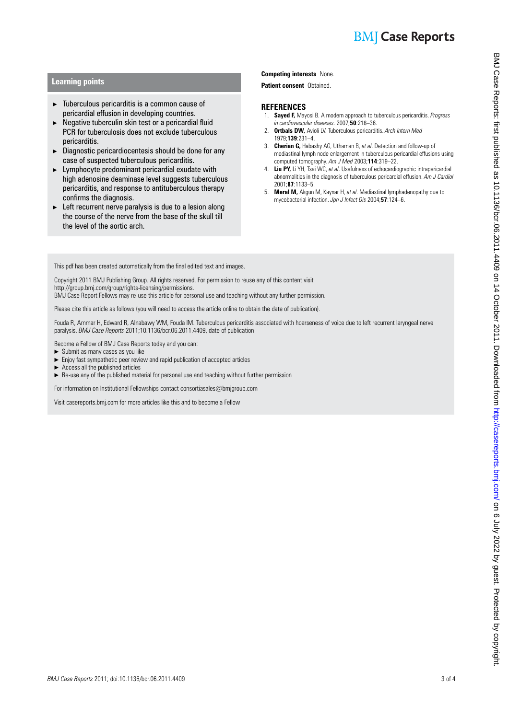# **BMJ** Case Reports

#### **Learning points**

- ▶ Tuberculous pericarditis is a common cause of pericardial effusion in developing countries.
- $\blacktriangleright$  Negative tuberculin skin test or a pericardial fluid PCR for tuberculosis does not exclude tuberculous pericarditis.
- $\blacktriangleright$  Diagnostic pericardiocentesis should be done for any case of suspected tuberculous pericarditis.
- $\blacktriangleright$  Lymphocyte predominant pericardial exudate with high adenosine deaminase level suggests tuberculous pericarditis, and response to antituberculous therapy confirms the diagnosis.
- $\blacktriangleright$  Left recurrent nerve paralysis is due to a lesion along the course of the nerve from the base of the skull till the level of the aortic arch.

#### **Competing interests** None.

 **Patient consent** Obtained.

#### **REFERENCES**

- 1. **Sayed F,** Mayosi B . A modern approach to tuberculous pericarditis . *Progress in cardiovascular diseases* . 2007 ; **50** : 218 – 36 .
- 2. **Ortbals DW,** Avioli LV . Tuberculous pericarditis. *Arch Intern Med* 1979 ; **139** : 231 – 4 .
- 3. **Cherian G,** Habashy AG, Uthaman B, *et al* . Detection and follow-up of mediastinal lymph node enlargement in tuberculous pericardial effusions using computed tomography. Am J Med 2003;114:319-22.
- 4. **Liu PY,** Li YH, Tsai WC, *et al* . Usefulness of echocardiographic intrapericardial abnormalities in the diagnosis of tuberculous pericardial effusion. *Am J Cardiol* 2001 ; **87** : 1133 – 5 .
- 5. **Meral M,** Akgun M, Kaynar H, *et al* . Mediastinal lymphadenopathy due to mycobacterial infection. *Jpn J Infect Dis* 2004;57:124-6.

This pdf has been created automatically from the final edited text and images.

Copyright 2011 BMJ Publishing Group. All rights reserved. For permission to reuse any of this content visit http://group.bmj.com/group/rights-licensing/permissions.

BMJ Case Report Fellows may re-use this article for personal use and teaching without any further permission.

Please cite this article as follows (you will need to access the article online to obtain the date of publication).

Fouda R, Ammar H, Edward R, Alnabawy WM, Fouda IM. Tuberculous pericarditis associated with hoarseness of voice due to left recurrent laryngeal nerve paralysis. *BMJ Case Reports* 2011;10.1136/bcr.06.2011.4409, date of publication

Become a Fellow of BMJ Case Reports today and you can:

- $\triangleright$  Submit as many cases as you like<br> $\triangleright$  Fniov fast sympathetic peer review
- Enjoy fast sympathetic peer review and rapid publication of accepted articles
- $\blacktriangleright$  Access all the published articles
- ▶ Re-use any of the published material for personal use and teaching without further permission

For information on Institutional Fellowships contact consortiasales@bmjgroup.com

Visit casereports.bmj.com for more articles like this and to become a Fellow